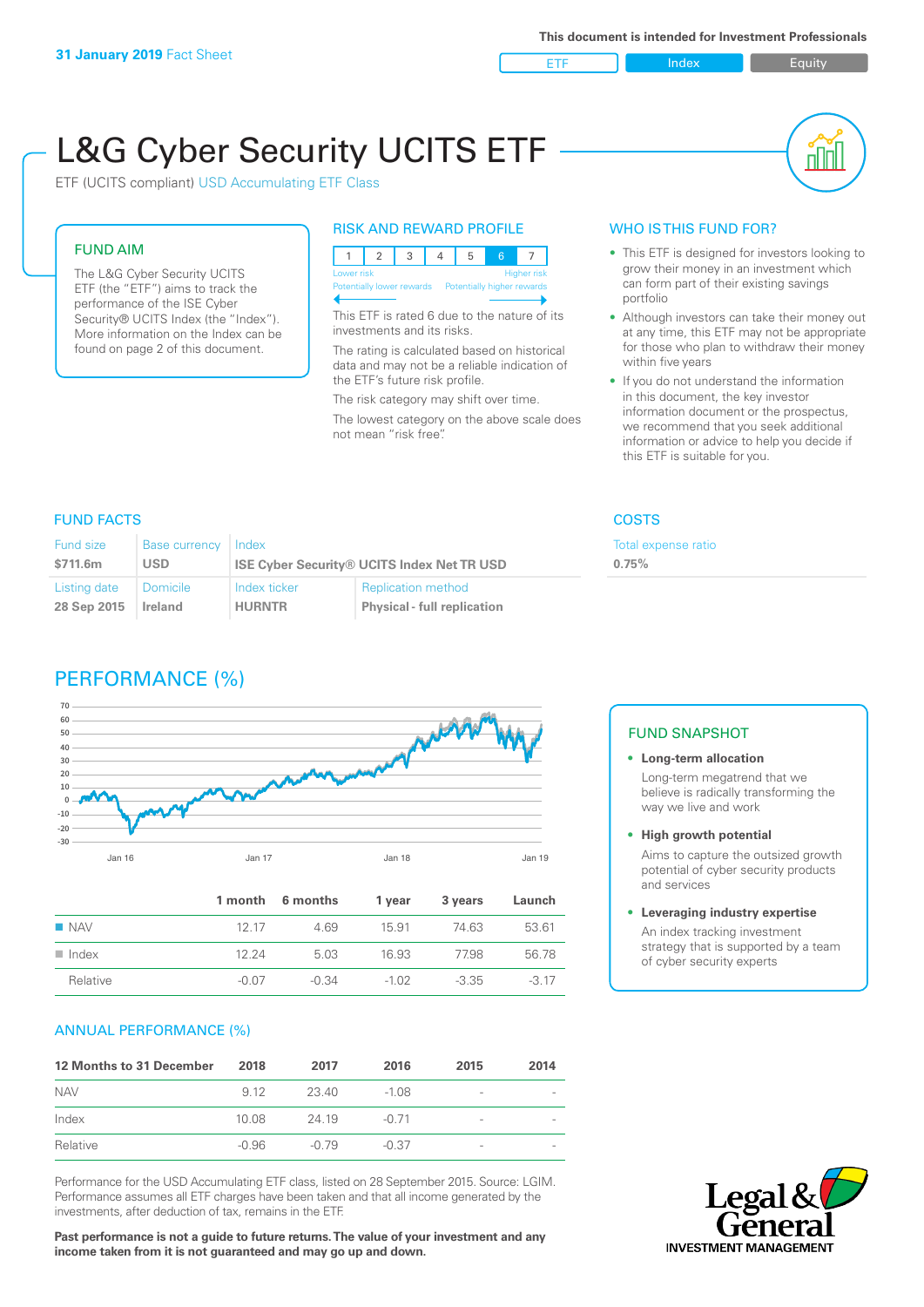ETF Index Buity

nl M

# L&G Cyber Security UCITS ETF

ETF (UCITS compliant) USD Accumulating ETF Class

### FUND AIM

The L&G Cyber Security UCITS ETF (the "ETF") aims to track the performance of the ISE Cyber Security® UCITS Index (the "Index"). More information on the Index can be found on page 2 of this document.

#### RISK AND REWARD PROFILE

| Lower risk                                            |  |  |  | <b>Higher risk</b> |
|-------------------------------------------------------|--|--|--|--------------------|
| Potentially lower rewards  Potentially higher rewards |  |  |  |                    |

This ETF is rated 6 due to the nature of its investments and its risks.

The rating is calculated based on historical data and may not be a reliable indication of the ETF's future risk profile.

The risk category may shift over time. The lowest category on the above scale does not mean "risk free".

#### WHO IS THIS FUND FOR?

- This ETF is designed for investors looking to grow their money in an investment which can form part of their existing savings portfolio
- Although investors can take their money out at any time, this ETF may not be appropriate for those who plan to withdraw their money within five years
- If you do not understand the information in this document, the key investor information document or the prospectus, we recommend that you seek additional information or advice to help you decide if this ETF is suitable for you.

Total expense ratio

**0.75%**

#### FUND FACTS COSTS

| <b>Fund size</b> | Base currency   | Index                                             |                                    |  |
|------------------|-----------------|---------------------------------------------------|------------------------------------|--|
| \$711.6m         | <b>USD</b>      | <b>ISE Cyber Security® UCITS Index Net TR USD</b> |                                    |  |
| Listing date     | <b>Domicile</b> | Index ticker                                      | <b>Replication method</b>          |  |
| 28 Sep 2015      | Ireland         | <b>HURNTR</b>                                     | <b>Physical - full replication</b> |  |

## PERFORMANCE (%)



|                      |         | 1 month 6 months | 1 year  | 3 years | Launch |
|----------------------|---------|------------------|---------|---------|--------|
| $\blacksquare$ NAV   | 12 17   | 4.69             | 15.91   | 74 63   | 53.61  |
| $\blacksquare$ Index | 12.24   | 5.03             | 16.93   | 77.98   | 56.78  |
| Relative             | $-0.07$ | $-0.34$          | $-1.02$ | $-3.35$ | $-317$ |

#### ANNUAL PERFORMANCE (%)

| 12 Months to 31 December | 2018  | 2017    | 2016    | 2015                     | 2014 |
|--------------------------|-------|---------|---------|--------------------------|------|
| <b>NAV</b>               | 9 1 2 | 23.40   | $-1.08$ | -                        |      |
| Index                    | 10.08 | 24 19   | $-0.71$ | -                        |      |
| Relative                 | -0.96 | $-0.79$ | $-0.37$ | $\overline{\phantom{a}}$ |      |

Performance for the USD Accumulating ETF class, listed on 28 September 2015. Source: LGIM. Performance assumes all ETF charges have been taken and that all income generated by the investments, after deduction of tax, remains in the ETF.

**Past performance is not a guide to future returns. The value of your investment and any income taken from it is not guaranteed and may go up and down.**

#### FUND SNAPSHOT

- **• Long-term allocation** Long-term megatrend that we believe is radically transforming the way we live and work
- **• High growth potential**

Aims to capture the outsized growth potential of cyber security products and services

#### **• Leveraging industry expertise**

An index tracking investment strategy that is supported by a team of cyber security experts

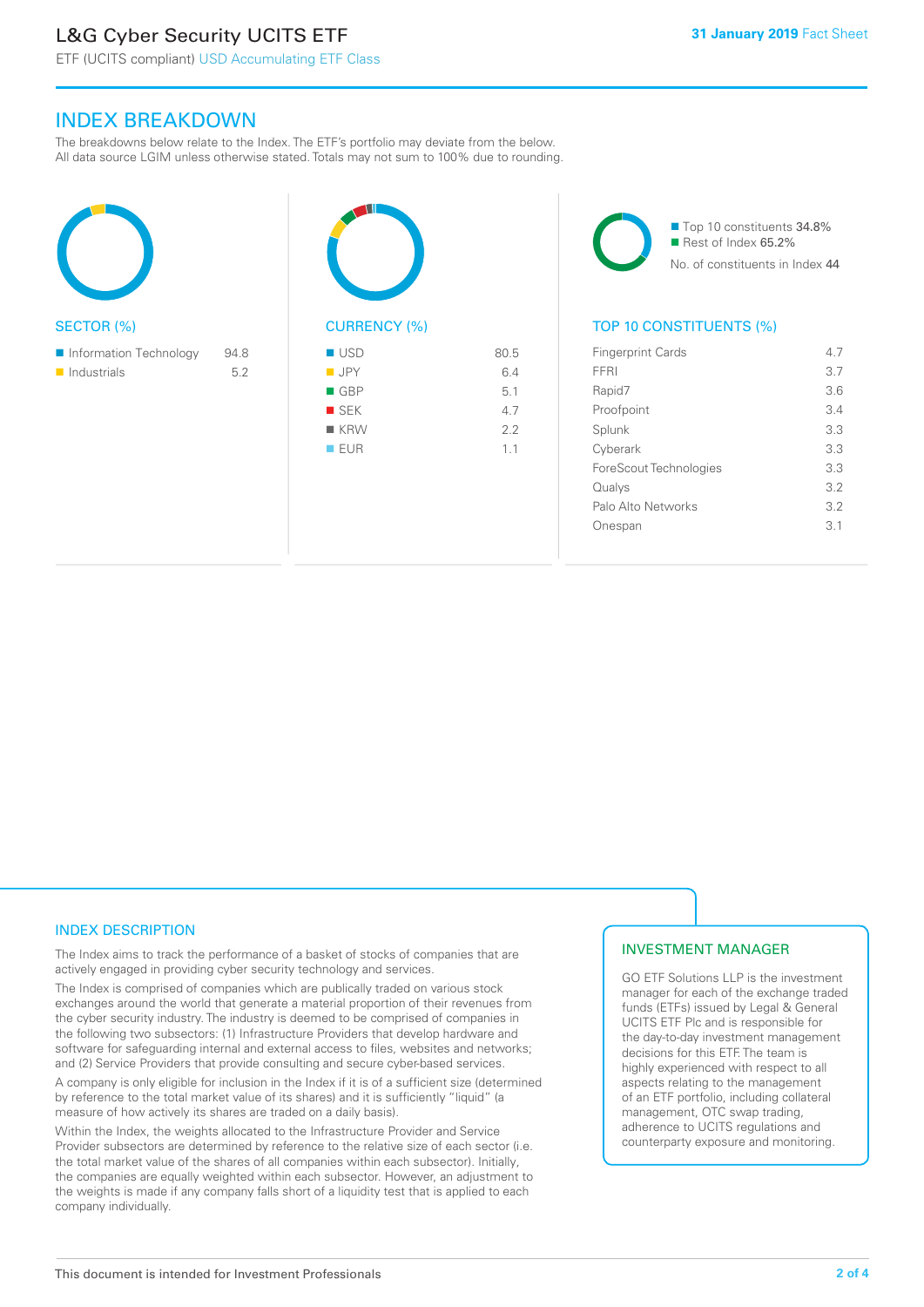# L&G Cyber Security UCITS ETF

ETF (UCITS compliant) USD Accumulating ETF Class

#### INDEX BREAKDOWN

The breakdowns below relate to the Index. The ETF's portfolio may deviate from the below. All data source LGIM unless otherwise stated. Totals may not sum to 100% due to rounding.

| <b>SECTOR (%)</b>                     |             | <b>CURR</b>                                                        |
|---------------------------------------|-------------|--------------------------------------------------------------------|
| Information Technology<br>Industrials | 94.8<br>5.2 | <b>USD</b><br><b>JPY</b><br><b>GBP</b><br>SEK<br>KRV<br><b>EUR</b> |
|                                       |             |                                                                    |

M RENCY (%)  $\blacksquare$  JPY 6.4  $\blacksquare$  GBP 5.1  $S$ EK 4.7  $\blacksquare$  KRW 2.2  $\blacksquare$  EUR 1.1

80.5

■ Top 10 constituents 34.8% Rest of Index 65.2% No. of constituents in Index 44

#### TOP 10 CONSTITUENTS (%)

| <b>Fingerprint Cards</b> | 47  |
|--------------------------|-----|
| FFRI                     | 3.7 |
| Rapid7                   | 3.6 |
| Proofpoint               | 3.4 |
| Splunk                   | 3.3 |
| Cyberark                 | 3.3 |
| ForeScout Technologies   | 3.3 |
| Qualys                   | 3.2 |
| Palo Alto Networks       | 3.2 |
| nespan                   | 31  |
|                          |     |

#### INDEX DESCRIPTION

The Index aims to track the performance of a basket of stocks of companies that are actively engaged in providing cyber security technology and services.

The Index is comprised of companies which are publically traded on various stock exchanges around the world that generate a material proportion of their revenues from the cyber security industry. The industry is deemed to be comprised of companies in the following two subsectors: (1) Infrastructure Providers that develop hardware and software for safeguarding internal and external access to files, websites and networks; and (2) Service Providers that provide consulting and secure cyber-based services.

A company is only eligible for inclusion in the Index if it is of a sufficient size (determined by reference to the total market value of its shares) and it is sufficiently "liquid" (a measure of how actively its shares are traded on a daily basis).

Within the Index, the weights allocated to the Infrastructure Provider and Service Provider subsectors are determined by reference to the relative size of each sector (i.e. the total market value of the shares of all companies within each subsector). Initially, the companies are equally weighted within each subsector. However, an adjustment to the weights is made if any company falls short of a liquidity test that is applied to each company individually.

#### INVESTMENT MANAGER

GO ETF Solutions LLP is the investment manager for each of the exchange traded funds (ETFs) issued by Legal & General UCITS ETF Plc and is responsible for the day-to-day investment management decisions for this ETF. The team is highly experienced with respect to all aspects relating to the management of an ETF portfolio, including collateral management, OTC swap trading, adherence to UCITS regulations and counterparty exposure and monitoring.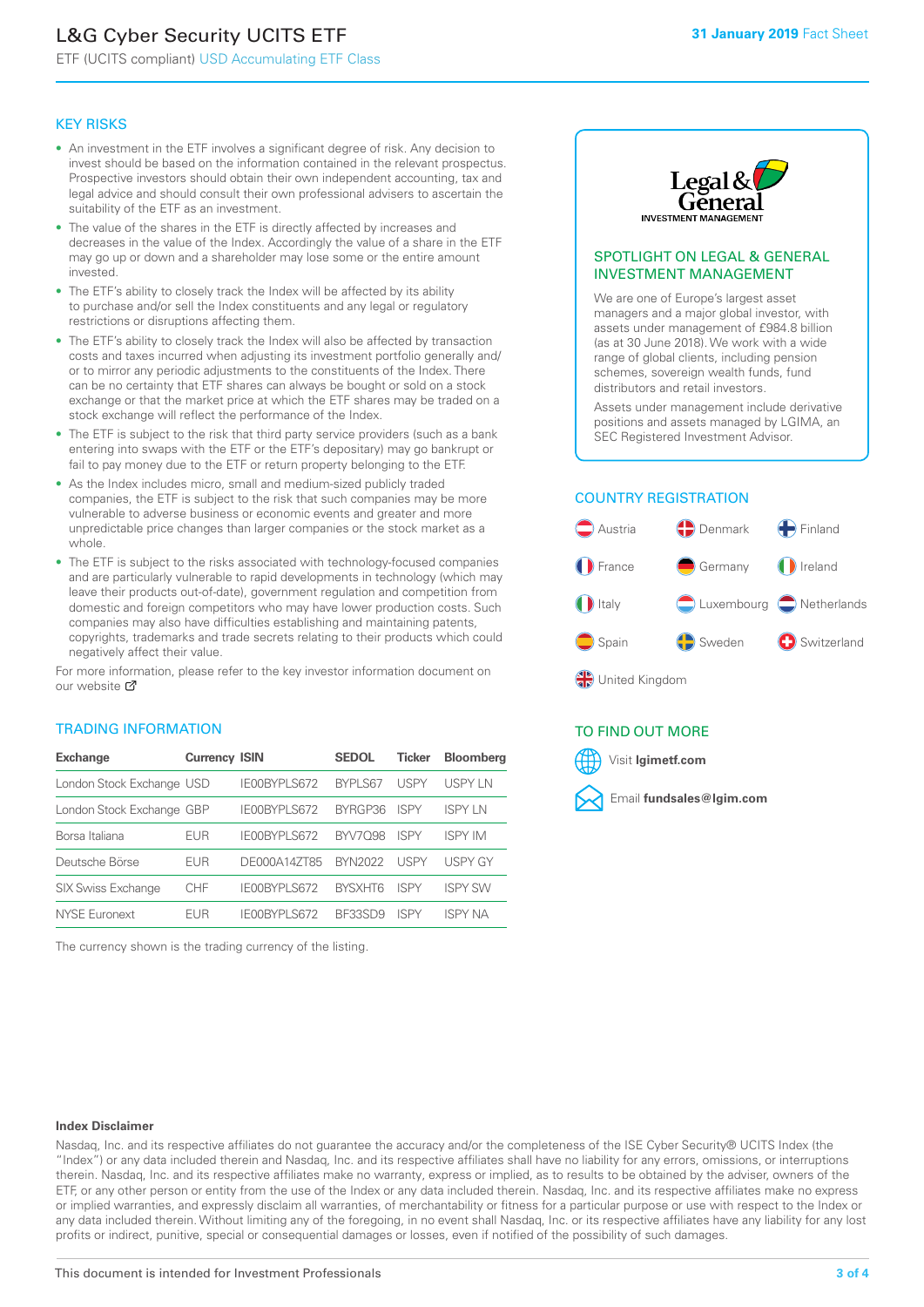# L&G Cyber Security UCITS ETF

ETF (UCITS compliant) USD Accumulating ETF Class

#### KEY RISKS

- An investment in the ETF involves a significant degree of risk. Any decision to invest should be based on the information contained in the relevant prospectus. Prospective investors should obtain their own independent accounting, tax and legal advice and should consult their own professional advisers to ascertain the suitability of the ETF as an investment.
- The value of the shares in the ETF is directly affected by increases and decreases in the value of the Index. Accordingly the value of a share in the ETF may go up or down and a shareholder may lose some or the entire amount invested.
- The ETF's ability to closely track the Index will be affected by its ability to purchase and/or sell the Index constituents and any legal or regulatory restrictions or disruptions affecting them.
- The ETF's ability to closely track the Index will also be affected by transaction costs and taxes incurred when adjusting its investment portfolio generally and/ or to mirror any periodic adjustments to the constituents of the Index. There can be no certainty that ETF shares can always be bought or sold on a stock exchange or that the market price at which the ETF shares may be traded on a stock exchange will reflect the performance of the Index.
- The ETF is subject to the risk that third party service providers (such as a bank entering into swaps with the ETF or the ETF's depositary) may go bankrupt or fail to pay money due to the ETF or return property belonging to the ETF.
- As the Index includes micro, small and medium-sized publicly traded companies, the ETF is subject to the risk that such companies may be more vulnerable to adverse business or economic events and greater and more unpredictable price changes than larger companies or the stock market as a whole.
- The ETF is subject to the risks associated with technology-focused companies and are particularly vulnerable to rapid developments in technology (which may leave their products out-of-date), government regulation and competition from domestic and foreign competitors who may have lower production costs. Such companies may also have difficulties establishing and maintaining patents, copyrights, trademarks and trade secrets relating to their products which could negatively affect their value.

For more in[form](https://www.lgimetf.com/)ation, please refer to the key investor information document on our website M

#### TRADING INFORMATION

| <b>Exchange</b>           | <b>Currency ISIN</b> |                     | <b>SEDOL</b>   | <b>Ticker</b> | <b>Bloomberg</b> |
|---------------------------|----------------------|---------------------|----------------|---------------|------------------|
| London Stock Exchange USD |                      | IE00BYPLS672        | BYPLS67        | <b>USPY</b>   | USPY IN          |
| London Stock Exchange GBP |                      | IE00BYPLS672        | BYRGP36        | <b>ISPY</b>   | <b>ISPY IN</b>   |
| Borsa Italiana            | EUR                  | <b>IFOORYPLS672</b> | <b>BYV7098</b> | <b>ISPY</b>   | <b>ISPY IM</b>   |
| Deutsche Börse            | EUR                  | DE000A14ZT85        | <b>BYN2022</b> | <b>USPY</b>   | <b>USPY GY</b>   |
| <b>SIX Swiss Exchange</b> | <b>CHF</b>           | IE00BYPLS672        | <b>RYSXHT6</b> | <b>ISPY</b>   | <b>ISPY SW</b>   |
| NYSE Euronext             | FUR                  | IF00BYPLS672        | BE33SD9        | ISPY          | ISPY NA          |

The currency shown is the trading currency of the listing.



#### SPOTLIGHT ON LEGAL & GENERAL INVESTMENT MANAGEMENT

We are one of Europe's largest asset managers and a major global investor, with assets under management of £984.8 billion (as at 30 June 2018). We work with a wide range of global clients, including pension schemes, sovereign wealth funds, fund distributors and retail investors.

Assets under management include derivative positions and assets managed by LGIMA, an SEC Registered Investment Advisor.

#### COUNTRY REGISTRATION



#### TO FIND OUT MORE

Visit **lgimetf.com**



#### **Index Disclaimer**

Nasdaq, Inc. and its respective affiliates do not guarantee the accuracy and/or the completeness of the ISE Cyber Security® UCITS Index (the "Index") or any data included therein and Nasdaq, Inc. and its respective affiliates shall have no liability for any errors, omissions, or interruptions therein. Nasdaq, Inc. and its respective affiliates make no warranty, express or implied, as to results to be obtained by the adviser, owners of the ETF, or any other person or entity from the use of the Index or any data included therein. Nasdaq, Inc. and its respective affiliates make no express or implied warranties, and expressly disclaim all warranties, of merchantability or fitness for a particular purpose or use with respect to the Index or any data included therein. Without limiting any of the foregoing, in no event shall Nasdaq, Inc. or its respective affiliates have any liability for any lost profits or indirect, punitive, special or consequential damages or losses, even if notified of the possibility of such damages.